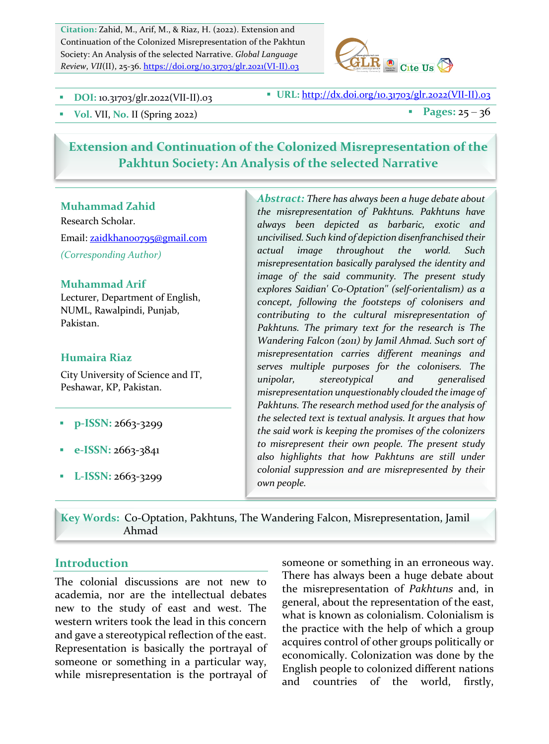Citation: Zahid, M., Arif, M., & Riaz, H. (2022). Extension and Continuation of the Colonized Misrepresentation of the Pakhtun Society: An Analysis of the selected Narrative. *Global Language Review*, *VII*(II), 25-36. https://doi.org/10.31703/glr.2021(VI-II).03



**DOI:** 10.31703/glr.2022(VII-II).03 **•** URL: http://dx.doi.org/10.31703/glr.2022(VII-II).03

 $\bullet$  Vol. VII, No. II (Spring 2022) **a** Pages:  $25 - 36$ 

# **Extension and Continuation of the Colonized Misrepresentation of the** Pakhtun Society: An Analysis of the selected Narrative

#### **Muhammad Zahid**

Research Scholar. Email: zaidkhanoo795@gmail.com *(Corresponding Author)*

### **Muhammad Arif**

Lecturer, Department of English, NUML, Rawalpindi, Punjab, Pakistan. 

#### **Humaira Riaz**

City University of Science and IT, Peshawar, KP, Pakistan.

- **p-ISSN: 2663-3299**
- **e-ISSN: 2663-3841**
- **•** L-ISSN: 2663-3299

Abstract: There has always been a huge debate about *the misrepresentation of Pakhtuns. Pakhtuns have always been depicted as barbaric, exotic and uncivilised. Such kind of depiction disenfranchised their actual image throughout the world. Such misrepresentation basically paralysed the identity and image* of the said community. The present study *explores Saidian' Co-Optation'' (self-orientalism) as a*  concept, following the footsteps of colonisers and *contributing to the cultural misrepresentation of*  Pakhtuns. The primary text for the research is The *Wandering Falcon (2011)* by Jamil Ahmad. Such sort of *misrepresentation carries different meanings and*  serves multiple purposes for the colonisers. The *unipolar, stereotypical and generalised*  misrepresentation unquestionably clouded the image of Pakhtuns. The research method used for the analysis of the selected text is textual analysis. It argues that how the said work is keeping the promises of the colonizers to misrepresent their own people. The present study *also highlights that how Pakhtuns are still under colonial suppression and are misrepresented by their own people.*

Key Words: Co-Optation, Pakhtuns, The Wandering Falcon, Misrepresentation, Jamil Ahmad

#### **Introduction**

The colonial discussions are not new to academia, nor are the intellectual debates new to the study of east and west. The western writers took the lead in this concern and gave a stereotypical reflection of the east. Representation is basically the portrayal of someone or something in a particular way, while misrepresentation is the portrayal of someone or something in an erroneous way. There has always been a huge debate about the misrepresentation of *Pakhtuns* and, in general, about the representation of the east, what is known as colonialism. Colonialism is the practice with the help of which a group acquires control of other groups politically or economically. Colonization was done by the English people to colonized different nations and countries of the world, firstly,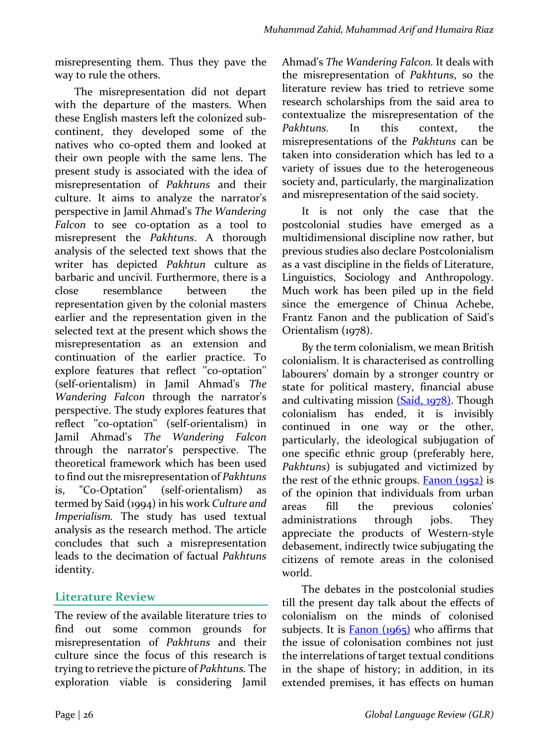misrepresenting them. Thus they pave the way to rule the others.

The misrepresentation did not depart with the departure of the masters. When these English masters left the colonized subcontinent, they developed some of the natives who co-opted them and looked at their own people with the same lens. The present study is associated with the idea of misrepresentation of *Pakhtuns* and their culture. It aims to analyze the narrator's perspective in Jamil Ahmad's *The Wandering* Falcon to see co-optation as a tool to misrepresent the *Pakhtuns*. A thorough analysis of the selected text shows that the writer has depicted *Pakhtun* culture as barbaric and uncivil. Furthermore, there is a close resemblance between the representation given by the colonial masters earlier and the representation given in the selected text at the present which shows the misrepresentation as an extension and continuation of the earlier practice. To explore features that reflect "co-optation" (self-orientalism) in Jamil Ahmad's *The Wandering Falcon* through the narrator's perspective. The study explores features that reflect ''co-optation'' (self-orientalism) in Jamil Ahmad's *The Wandering Falcon* through the narrator's perspective. The theoretical framework which has been used to find out the misrepresentation of *Pakhtuns* is, "Co-Optation" (self-orientalism) as termed by Said (1994) in his work *Culture and* Imperialism. The study has used textual analysis as the research method. The article concludes that such a misrepresentation leads to the decimation of factual *Pakhtuns* identity. 

# **Literature Review**

The review of the available literature tries to find out some common grounds for misrepresentation of *Pakhtuns* and their culture since the focus of this research is trying to retrieve the picture of *Pakhtuns*. The exploration viable is considering Jamil Ahmad's The Wandering Falcon. It deals with the misrepresentation of *Pakhtuns*, so the literature review has tried to retrieve some research scholarships from the said area to contextualize the misrepresentation of the *Pakhtuns.* In this context, the misrepresentations of the *Pakhtuns* can be taken into consideration which has led to a variety of issues due to the heterogeneous society and, particularly, the marginalization and misrepresentation of the said society.

It is not only the case that the postcolonial studies have emerged as a multidimensional discipline now rather, but previous studies also declare Postcolonialism as a vast discipline in the fields of Literature, Linguistics, Sociology and Anthropology. Much work has been piled up in the field since the emergence of Chinua Achebe, Frantz Fanon and the publication of Said's Orientalism (1978).

By the term colonialism, we mean British colonialism. It is characterised as controlling labourers' domain by a stronger country or state for political mastery, financial abuse and cultivating mission  $(Said, 1978)$ . Though colonialism has ended, it is invisibly continued in one way or the other, particularly, the ideological subjugation of one specific ethnic group (preferably here, *Pakhtuns*) is subjugated and victimized by the rest of the ethnic groups. **Fanon**  $(1952)$  is of the opinion that individuals from urban areas fill the previous colonies' administrations through jobs. They appreciate the products of Western-style debasement, indirectly twice subjugating the citizens of remote areas in the colonised world.

The debates in the postcolonial studies till the present day talk about the effects of colonialism on the minds of colonised subjects. It is Fanon  $(1965)$  who affirms that the issue of colonisation combines not just the interrelations of target textual conditions in the shape of history; in addition, in its extended premises, it has effects on human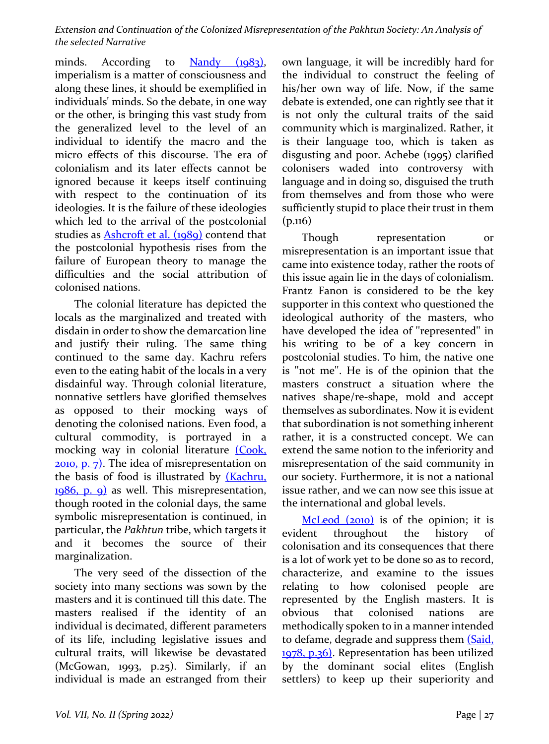minds. According to  $N$ andy  $(1983)$ , imperialism is a matter of consciousness and along these lines, it should be exemplified in individuals' minds. So the debate, in one way or the other, is bringing this vast study from the generalized level to the level of an individual to identify the macro and the micro effects of this discourse. The era of colonialism and its later effects cannot be ignored because it keeps itself continuing with respect to the continuation of its ideologies. It is the failure of these ideologies which led to the arrival of the postcolonial studies as **Ashcroft et al.** (1989) contend that the postcolonial hypothesis rises from the failure of European theory to manage the difficulties and the social attribution of colonised nations.

The colonial literature has depicted the locals as the marginalized and treated with disdain in order to show the demarcation line and justify their ruling. The same thing continued to the same day. Kachru refers even to the eating habit of the locals in a very disdainful way. Through colonial literature, nonnative settlers have glorified themselves as opposed to their mocking ways of denoting the colonised nations. Even food, a cultural commodity, is portrayed in a mocking way in colonial literature (Cook,  $2010$ , p. 7). The idea of misrepresentation on the basis of food is illustrated by  $(Kachru,$  $1986$ , p. 9) as well. This misrepresentation, though rooted in the colonial days, the same symbolic misrepresentation is continued, in particular, the *Pakhtun* tribe, which targets it and it becomes the source of their marginalization. 

The very seed of the dissection of the society into many sections was sown by the masters and it is continued till this date. The masters realised if the identity of an individual is decimated, different parameters of its life, including legislative issues and cultural traits, will likewise be devastated  $(McGowan, 1993, p.25)$ . Similarly, if an individual is made an estranged from their own language, it will be incredibly hard for the individual to construct the feeling of his/her own way of life. Now, if the same debate is extended, one can rightly see that it is not only the cultural traits of the said community which is marginalized. Rather, it is their language too, which is taken as disgusting and poor. Achebe (1995) clarified colonisers waded into controversy with language and in doing so, disguised the truth from themselves and from those who were sufficiently stupid to place their trust in them  $(p.n6)$ 

Though representation or misrepresentation is an important issue that came into existence today, rather the roots of this issue again lie in the days of colonialism. Frantz Fanon is considered to be the key supporter in this context who questioned the ideological authority of the masters, who have developed the idea of "represented" in his writing to be of a key concern in postcolonial studies. To him, the native one is "not me". He is of the opinion that the masters construct a situation where the natives shape/re-shape, mold and accept themselves as subordinates. Now it is evident that subordination is not something inherent rather, it is a constructed concept. We can extend the same notion to the inferiority and misrepresentation of the said community in our society. Furthermore, it is not a national issue rather, and we can now see this issue at the international and global levels.

 $Mcleod (2010)$  is of the opinion; it is</u> evident throughout the history of colonisation and its consequences that there is a lot of work yet to be done so as to record, characterize, and examine to the issues relating to how colonised people are represented by the English masters. It is obvious that colonised nations are methodically spoken to in a manner intended to defame, degrade and suppress them (Said, 1978, p.36). Representation has been utilized by the dominant social elites (English settlers) to keep up their superiority and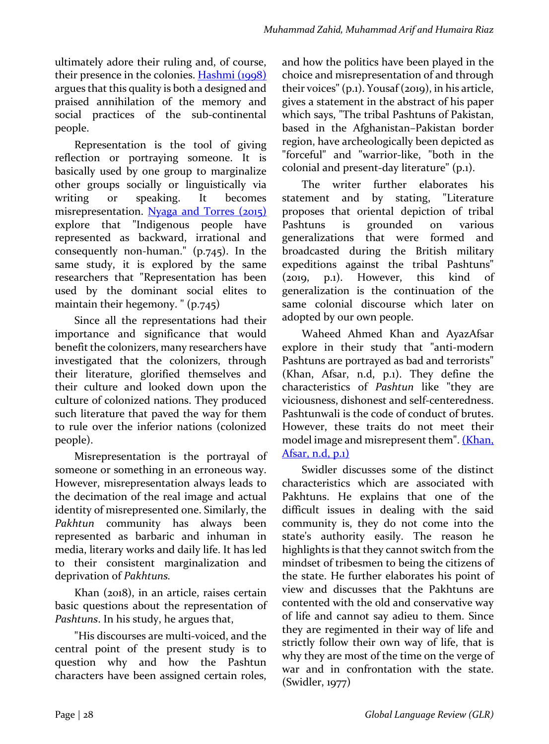ultimately adore their ruling and, of course, their presence in the colonies. Hashmi (1998) argues that this quality is both a designed and praised annihilation of the memory and social practices of the sub-continental people. 

Representation is the tool of giving reflection or portraying someone. It is basically used by one group to marginalize other groups socially or linguistically via writing or speaking. It becomes misrepresentation. Nyaga and Torres (2015) explore that "Indigenous people have represented as backward, irrational and consequently non-human."  $(p.745)$ . In the same study, it is explored by the same researchers that "Representation has been used by the dominant social elites to maintain their hegemony. " $(p.745)$ 

Since all the representations had their importance and significance that would benefit the colonizers, many researchers have investigated that the colonizers, through their literature, glorified themselves and their culture and looked down upon the culture of colonized nations. They produced such literature that paved the way for them to rule over the inferior nations (colonized people).

Misrepresentation is the portrayal of someone or something in an erroneous way. However, misrepresentation always leads to the decimation of the real image and actual identity of misrepresented one. Similarly, the *Pakhtun* community has always been represented as barbaric and inhuman in media, literary works and daily life. It has led to their consistent marginalization and deprivation of *Pakhtuns*.

Khan (2018), in an article, raises certain basic questions about the representation of *Pashtuns*. In his study, he argues that,

"His discourses are multi-voiced, and the central point of the present study is to question why and how the Pashtun characters have been assigned certain roles, and how the politics have been played in the choice and misrepresentation of and through their voices"  $(p_1)$ . Yousaf $(zo_1q)$ , in his article, gives a statement in the abstract of his paper which says, "The tribal Pashtuns of Pakistan, based in the Afghanistan–Pakistan border region, have archeologically been depicted as "forceful" and "warrior-like, "both in the colonial and present-day literature" (p.1).

The writer further elaborates his statement and by stating, "Literature proposes that oriental depiction of tribal Pashtuns is grounded on various generalizations that were formed and broadcasted during the British military expeditions against the tribal Pashtuns"  $(2019, p.1)$ . However, this kind of generalization is the continuation of the same colonial discourse which later on adopted by our own people.

Waheed Ahmed Khan and AyazAfsar explore in their study that "anti-modern Pashtuns are portrayed as bad and terrorists" (Khan, Afsar, n.d, p.1). They define the characteristics of *Pashtun* like "they are viciousness, dishonest and self-centeredness. Pashtunwali is the code of conduct of brutes. However, these traits do not meet their model image and misrepresent them". (Khan, Afsar,  $n.d$ ,  $p.1$ )

Swidler discusses some of the distinct characteristics which are associated with Pakhtuns. He explains that one of the difficult issues in dealing with the said community is, they do not come into the state's authority easily. The reason he highlights is that they cannot switch from the mindset of tribesmen to being the citizens of the state. He further elaborates his point of view and discusses that the Pakhtuns are contented with the old and conservative way of life and cannot say adieu to them. Since they are regimented in their way of life and strictly follow their own way of life, that is why they are most of the time on the verge of war and in confrontation with the state.  $(Swidler, 1977)$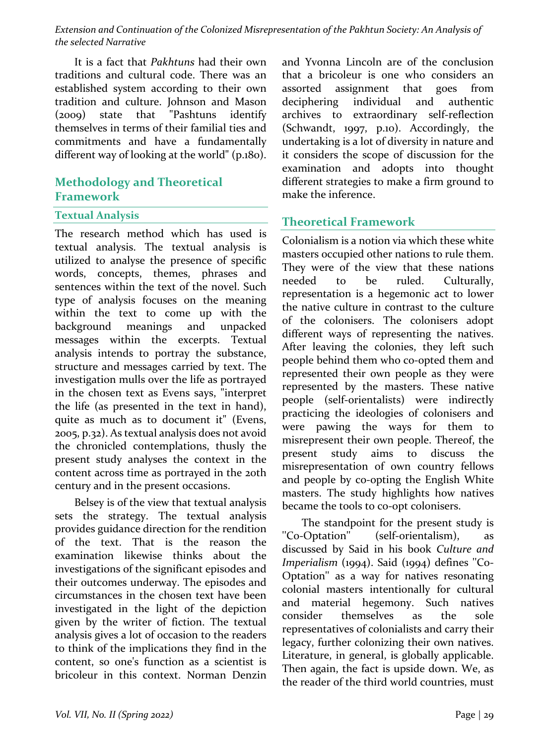It is a fact that *Pakhtuns* had their own traditions and cultural code. There was an established system according to their own tradition and culture. Johnson and Mason (2009) state that "Pashtuns identify themselves in terms of their familial ties and commitments and have a fundamentally different way of looking at the world" (p.180).

# **Methodology and Theoretical Framework**

### **Textual Analysis**

The research method which has used is textual analysis. The textual analysis is utilized to analyse the presence of specific words, concepts, themes, phrases and sentences within the text of the novel. Such type of analysis focuses on the meaning within the text to come up with the background meanings and unpacked messages within the excerpts. Textual analysis intends to portray the substance, structure and messages carried by text. The investigation mulls over the life as portrayed in the chosen text as Evens says, "interpret the life (as presented in the text in hand), quite as much as to document it" (Evens, 2005, p.32). As textual analysis does not avoid the chronicled contemplations, thusly the present study analyses the context in the content across time as portrayed in the 20th century and in the present occasions.

Belsey is of the view that textual analysis sets the strategy. The textual analysis provides guidance direction for the rendition of the text. That is the reason the examination likewise thinks about the investigations of the significant episodes and their outcomes underway. The episodes and circumstances in the chosen text have been investigated in the light of the depiction given by the writer of fiction. The textual analysis gives a lot of occasion to the readers to think of the implications they find in the content, so one's function as a scientist is bricoleur in this context. Norman Denzin and Yvonna Lincoln are of the conclusion that a bricoleur is one who considers an assorted assignment that goes from deciphering individual and authentic archives to extraordinary self-reflection (Schwandt, 1997, p.10). Accordingly, the undertaking is a lot of diversity in nature and it considers the scope of discussion for the examination and adopts into thought different strategies to make a firm ground to make the inference.

### **Theoretical Framework**

Colonialism is a notion via which these white masters occupied other nations to rule them. They were of the view that these nations needed to be ruled. Culturally, representation is a hegemonic act to lower the native culture in contrast to the culture of the colonisers. The colonisers adopt different ways of representing the natives. After leaving the colonies, they left such people behind them who co-opted them and represented their own people as they were represented by the masters. These native people (self-orientalists) were indirectly practicing the ideologies of colonisers and were pawing the ways for them to misrepresent their own people. Thereof, the present study aims to discuss the misrepresentation of own country fellows and people by co-opting the English White masters. The study highlights how natives became the tools to co-opt colonisers.

The standpoint for the present study is ''Co-Optation'' (self-orientalism), as discussed by Said in his book *Culture and Imperialism* (1994). Said (1994) defines "Co-Optation" as a way for natives resonating colonial masters intentionally for cultural and material hegemony. Such natives consider themselves as the sole representatives of colonialists and carry their legacy, further colonizing their own natives. Literature, in general, is globally applicable. Then again, the fact is upside down. We, as the reader of the third world countries, must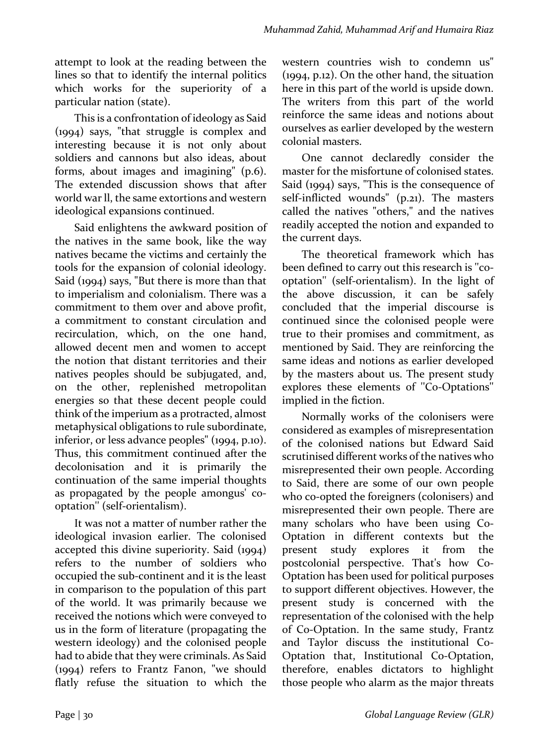attempt to look at the reading between the lines so that to identify the internal politics which works for the superiority of a particular nation (state).

This is a confrontation of ideology as Said  $(1994)$  says, "that struggle is complex and interesting because it is not only about soldiers and cannons but also ideas, about forms, about images and imagining"  $(p.6)$ . The extended discussion shows that after world war ll, the same extortions and western ideological expansions continued.

Said enlightens the awkward position of the natives in the same book, like the way natives became the victims and certainly the tools for the expansion of colonial ideology. Said  $(1994)$  says, "But there is more than that to imperialism and colonialism. There was a commitment to them over and above profit, a commitment to constant circulation and recirculation, which, on the one hand, allowed decent men and women to accept the notion that distant territories and their natives peoples should be subjugated, and, on the other, replenished metropolitan energies so that these decent people could think of the imperium as a protracted, almost metaphysical obligations to rule subordinate, inferior, or less advance  $peoples''(1994, p.10)$ . Thus, this commitment continued after the decolonisation and it is primarily the continuation of the same imperial thoughts as propagated by the people amongus' cooptation" (self-orientalism).

It was not a matter of number rather the ideological invasion earlier. The colonised accepted this divine superiority. Said  $(1994)$ refers to the number of soldiers who occupied the sub-continent and it is the least in comparison to the population of this part of the world. It was primarily because we received the notions which were conveyed to us in the form of literature (propagating the western ideology) and the colonised people had to abide that they were criminals. As Said  $(1994)$  refers to Frantz Fanon, "we should flatly refuse the situation to which the western countries wish to condemn us"  $(1994, p.12)$ . On the other hand, the situation here in this part of the world is upside down. The writers from this part of the world reinforce the same ideas and notions about ourselves as earlier developed by the western colonial masters.

One cannot declaredly consider the master for the misfortune of colonised states. Said  $(1994)$  says, "This is the consequence of self-inflicted wounds" (p.21). The masters called the natives "others," and the natives readily accepted the notion and expanded to the current days.

The theoretical framework which has been defined to carry out this research is "cooptation" (self-orientalism). In the light of the above discussion, it can be safely concluded that the imperial discourse is continued since the colonised people were true to their promises and commitment, as mentioned by Said. They are reinforcing the same ideas and notions as earlier developed by the masters about us. The present study explores these elements of "Co-Optations" implied in the fiction.

Normally works of the colonisers were considered as examples of misrepresentation of the colonised nations but Edward Said scrutinised different works of the natives who misrepresented their own people. According to Said, there are some of our own people who co-opted the foreigners (colonisers) and misrepresented their own people. There are many scholars who have been using Co-Optation in different contexts but the present study explores it from the postcolonial perspective. That's how Co-Optation has been used for political purposes to support different objectives. However, the present study is concerned with the representation of the colonised with the help of Co-Optation. In the same study, Frantz and Taylor discuss the institutional Co-Optation that, Institutional Co-Optation, therefore, enables dictators to highlight those people who alarm as the major threats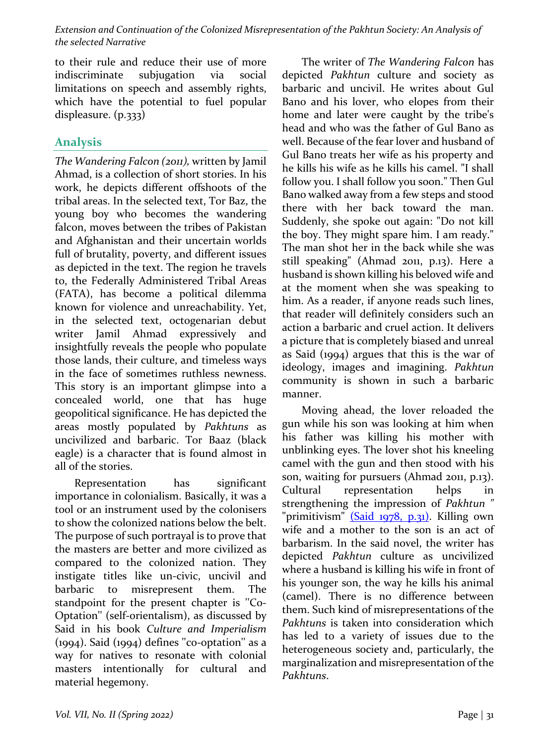to their rule and reduce their use of more indiscriminate subjugation via social limitations on speech and assembly rights, which have the potential to fuel popular displeasure. (p.333)

## **Analysis**

*The Wandering Falcon (2011),* written by Jamil Ahmad, is a collection of short stories. In his work, he depicts different offshoots of the tribal areas. In the selected text, Tor Baz, the young boy who becomes the wandering falcon, moves between the tribes of Pakistan and Afghanistan and their uncertain worlds full of brutality, poverty, and different issues as depicted in the text. The region he travels to, the Federally Administered Tribal Areas (FATA), has become a political dilemma known for violence and unreachability. Yet, in the selected text, octogenarian debut writer Jamil Ahmad expressively and insightfully reveals the people who populate those lands, their culture, and timeless ways in the face of sometimes ruthless newness. This story is an important glimpse into a concealed world, one that has huge geopolitical significance. He has depicted the areas mostly populated by *Pakhtuns*  as uncivilized and barbaric. Tor Baaz (black eagle) is a character that is found almost in all of the stories.

Representation has significant importance in colonialism. Basically, it was a tool or an instrument used by the colonisers to show the colonized nations below the belt. The purpose of such portrayal is to prove that the masters are better and more civilized as compared to the colonized nation. They instigate titles like un-civic, uncivil and barbaric to misrepresent them. The standpoint for the present chapter is "Co-Optation" (self-orientalism), as discussed by Said in his book *Culture and Imperialism*  $(1994)$ . Said  $(1994)$  defines "co-optation" as a way for natives to resonate with colonial masters intentionally for cultural and material hegemony.

The writer of *The Wandering Falcon* has depicted *Pakhtun* culture and society as barbaric and uncivil. He writes about Gul Bano and his lover, who elopes from their home and later were caught by the tribe's head and who was the father of Gul Bano as well. Because of the fear lover and husband of Gul Bano treats her wife as his property and he kills his wife as he kills his camel. "I shall follow you. I shall follow you soon." Then Gul Bano walked away from a few steps and stood there with her back toward the man. Suddenly, she spoke out again: "Do not kill the boy. They might spare him. I am ready." The man shot her in the back while she was still speaking" (Ahmad 2011, p.13). Here a husband is shown killing his beloved wife and at the moment when she was speaking to him. As a reader, if anyone reads such lines, that reader will definitely considers such an action a barbaric and cruel action. It delivers a picture that is completely biased and unreal as Said  $(1994)$  argues that this is the war of ideology, images and imagining. *Pakhtun* community is shown in such a barbaric manner.

Moving ahead, the lover reloaded the gun while his son was looking at him when his father was killing his mother with unblinking eyes. The lover shot his kneeling camel with the gun and then stood with his son, waiting for pursuers (Ahmad 2011, p.13). Cultural representation helps in strengthening the impression of *Pakhtun* " "primitivism"  $(Said 1978, p.31)$ . Killing own wife and a mother to the son is an act of barbarism. In the said novel, the writer has depicted *Pakhtun* culture as uncivilized where a husband is killing his wife in front of his younger son, the way he kills his animal (camel). There is no difference between them. Such kind of misrepresentations of the Pakhtuns is taken into consideration which has led to a variety of issues due to the heterogeneous society and, particularly, the marginalization and misrepresentation of the *Pakhtuns*.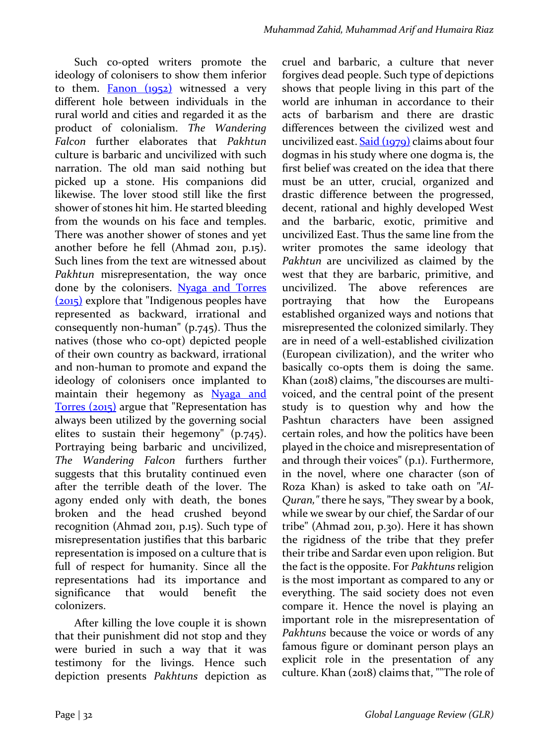Such co-opted writers promote the ideology of colonisers to show them inferior to them.  $Fanon (1952)$  witnessed a very different hole between individuals in the rural world and cities and regarded it as the product of colonialism. The Wandering *Falcon*  further elaborates that *Pakhtun* culture is barbaric and uncivilized with such narration. The old man said nothing but picked up a stone. His companions did likewise. The lover stood still like the first shower of stones hit him. He started bleeding from the wounds on his face and temples. There was another shower of stones and yet another before he fell (Ahmad  $2011$ ,  $p.15$ ). Such lines from the text are witnessed about *Pakhtun* misrepresentation, the way once done by the colonisers. Nyaga and Torres  $(2015)$  explore that "Indigenous peoples have represented as backward, irrational and consequently non-human"  $(p.745)$ . Thus the natives (those who co-opt) depicted people of their own country as backward, irrational and non-human to promote and expand the ideology of colonisers once implanted to maintain their hegemony as Nyaga and Torres (2015) argue that "Representation has always been utilized by the governing social elites to sustain their hegemony"  $(p.745)$ . Portraying being barbaric and uncivilized, *The Wandering Falcon*  furthers further suggests that this brutality continued even after the terrible death of the lover. The agony ended only with death, the bones broken and the head crushed beyond recognition (Ahmad 2011, p.15). Such type of misrepresentation justifies that this barbaric representation is imposed on a culture that is full of respect for humanity. Since all the representations had its importance and significance that would benefit the colonizers.

After killing the love couple it is shown that their punishment did not stop and they were buried in such a way that it was testimony for the livings. Hence such depiction presents *Pakhtuns* depiction as  cruel and barbaric, a culture that never forgives dead people. Such type of depictions shows that people living in this part of the world are inhuman in accordance to their acts of barbarism and there are drastic differences between the civilized west and uncivilized east.  $Said (1979)$  claims about four dogmas in his study where one dogma is, the first belief was created on the idea that there must be an utter, crucial, organized and drastic difference between the progressed, decent, rational and highly developed West and the barbaric, exotic, primitive and uncivilized East. Thus the same line from the writer promotes the same ideology that Pakhtun are uncivilized as claimed by the west that they are barbaric, primitive, and uncivilized. The above references are portraying that how the Europeans established organized ways and notions that misrepresented the colonized similarly. They are in need of a well-established civilization (European civilization), and the writer who basically co-opts them is doing the same. Khan $(2018)$  claims, "the discourses are multivoiced, and the central point of the present study is to question why and how the Pashtun characters have been assigned certain roles, and how the politics have been played in the choice and misrepresentation of and through their voices"  $(p_1)$ . Furthermore, in the novel, where one character (son of Roza Khan) is asked to take oath on "Al-*Quran,"* there he says, "They swear by a book, while we swear by our chief, the Sardar of our tribe" (Ahmad 2011, p.30). Here it has shown the rigidness of the tribe that they prefer their tribe and Sardar even upon religion. But the fact is the opposite. For *Pakhtuns* religion is the most important as compared to any or everything. The said society does not even compare it. Hence the novel is playing an important role in the misrepresentation of *Pakhtuns* because the voice or words of any famous figure or dominant person plays an explicit role in the presentation of any culture. Khan (2018) claims that, ""The role of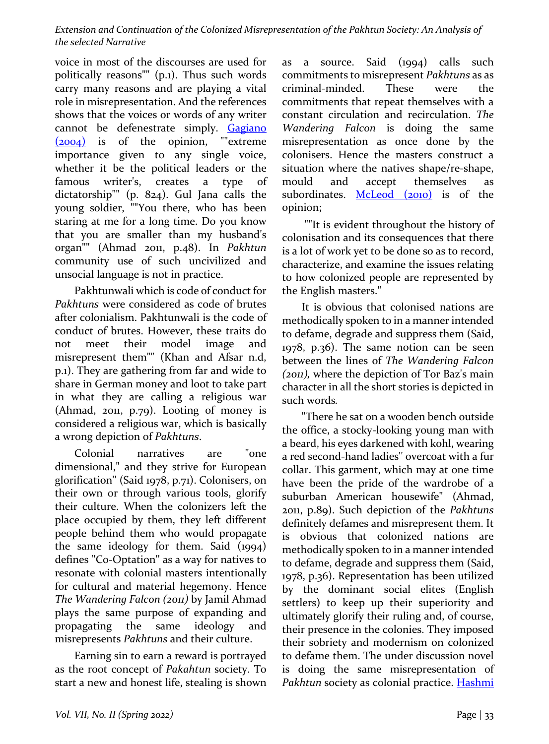voice in most of the discourses are used for politically reasons""  $(p_1)$ . Thus such words carry many reasons and are playing a vital role in misrepresentation. And the references shows that the voices or words of any writer cannot be defenestrate simply. Gagiano  $(2004)$  is of the opinion, ""extreme importance given to any single voice, whether it be the political leaders or the famous writer's, creates a type of dictatorship"" (p.  $824$ ). Gul Jana calls the young soldier, ""You there, who has been staring at me for a long time. Do you know that you are smaller than my husband's organ"" (Ahmad 2011, p.48). In *Pakhtun* community use of such uncivilized and unsocial language is not in practice.

Pakhtunwali which is code of conduct for *Pakhtuns* were considered as code of brutes after colonialism. Pakhtunwali is the code of conduct of brutes. However, these traits do not meet their model image and misrepresent them"" (Khan and Afsar n.d, p.1). They are gathering from far and wide to share in German money and loot to take part in what they are calling a religious war (Ahmad,  $2011$ ,  $p.79$ ). Looting of money is considered a religious war, which is basically a wrong depiction of *Pakhtuns*.

Colonial narratives are "one dimensional," and they strive for European glorification" (Said 1978, p.71). Colonisers, on their own or through various tools, glorify their culture. When the colonizers left the place occupied by them, they left different people behind them who would propagate the same ideology for them. Said  $(1994)$ defines "Co-Optation" as a way for natives to resonate with colonial masters intentionally for cultural and material hegemony. Hence *The Wandering Falcon* (2011) by Jamil Ahmad plays the same purpose of expanding and propagating the same ideology and misrepresents *Pakhtuns* and their culture.

Earning sin to earn a reward is portrayed as the root concept of *Pakahtun* society. To start a new and honest life, stealing is shown

as a source. Said  $(1994)$  calls such commitments to misrepresent *Pakhtuns* as as criminal-minded. These were the commitments that repeat themselves with a constant circulation and recirculation. The *Wandering Falcon*  is doing the same misrepresentation as once done by the colonisers. Hence the masters construct a situation where the natives shape/re-shape, mould and accept themselves as subordinates.  $McLeod$  (2010) is of the opinion;

""It is evident throughout the history of colonisation and its consequences that there is a lot of work yet to be done so as to record, characterize, and examine the issues relating to how colonized people are represented by the English masters."

It is obvious that colonised nations are methodically spoken to in a manner intended to defame, degrade and suppress them (Said, 1978, p.36). The same notion can be seen between the lines of *The Wandering Falcon* (2011), where the depiction of Tor Baz's main character in all the short stories is depicted in such words.

"There he sat on a wooden bench outside the office, a stocky-looking young man with a beard, his eyes darkened with kohl, wearing a red second-hand ladies" overcoat with a fur collar. This garment, which may at one time have been the pride of the wardrobe of a suburban American housewife" (Ahmad, 2011, p.89). Such depiction of the *Pakhtuns* definitely defames and misrepresent them. It is obvious that colonized nations are methodically spoken to in a manner intended to defame, degrade and suppress them (Said, 1978, p.36). Representation has been utilized by the dominant social elites (English settlers) to keep up their superiority and ultimately glorify their ruling and, of course, their presence in the colonies. They imposed their sobriety and modernism on colonized to defame them. The under discussion novel is doing the same misrepresentation of Pakhtun society as colonial practice. **Hashmi**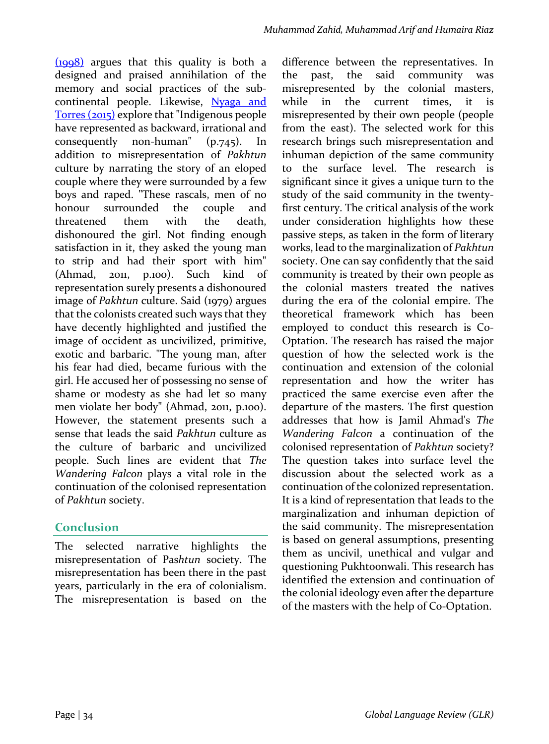$(1998)$  argues that this quality is both a designed and praised annihilation of the memory and social practices of the subcontinental people. Likewise, Nyaga and Torres (2015) explore that "Indigenous people have represented as backward, irrational and consequently non-human"  $(p.745)$ . In addition to misrepresentation of *Pakhtun* culture by narrating the story of an eloped couple where they were surrounded by a few boys and raped. "These rascals, men of no honour surrounded the couple and threatened them with the death. dishonoured the girl. Not finding enough satisfaction in it, they asked the young man to strip and had their sport with him"  $(Ahmad, 2011, p.100)$ . Such kind of representation surely presents a dishonoured image of *Pakhtun* culture. Said (1979) argues that the colonists created such ways that they have decently highlighted and justified the image of occident as uncivilized, primitive, exotic and barbaric. "The young man, after his fear had died, became furious with the girl. He accused her of possessing no sense of shame or modesty as she had let so many men violate her body" (Ahmad, 2011, p.100). However, the statement presents such a sense that leads the said *Pakhtun* culture as the culture of barbaric and uncivilized people. Such lines are evident that The *Wandering Falcon plays a vital role in the* continuation of the colonised representation of Pakhtun society.

# **Conclusion**

The selected narrative highlights the misrepresentation of Pas*htun* society. The misrepresentation has been there in the past years, particularly in the era of colonialism. The misrepresentation is based on the difference between the representatives. In the past, the said community was misrepresented by the colonial masters, while in the current times, it is misrepresented by their own people (people from the east). The selected work for this research brings such misrepresentation and inhuman depiction of the same community to the surface level. The research is significant since it gives a unique turn to the study of the said community in the twentyfirst century. The critical analysis of the work under consideration highlights how these passive steps, as taken in the form of literary works, lead to the marginalization of *Pakhtun* society. One can say confidently that the said community is treated by their own people as the colonial masters treated the natives during the era of the colonial empire. The theoretical framework which has been employed to conduct this research is Co-Optation. The research has raised the major question of how the selected work is the continuation and extension of the colonial representation and how the writer has practiced the same exercise even after the departure of the masters. The first question addresses that how is Jamil Ahmad's The *Wandering Falcon* a continuation of the colonised representation of *Pakhtun* society? The question takes into surface level the discussion about the selected work as a continuation of the colonized representation. It is a kind of representation that leads to the marginalization and inhuman depiction of the said community. The misrepresentation is based on general assumptions, presenting them as uncivil, unethical and vulgar and questioning Pukhtoonwali. This research has identified the extension and continuation of the colonial ideology even after the departure of the masters with the help of Co-Optation.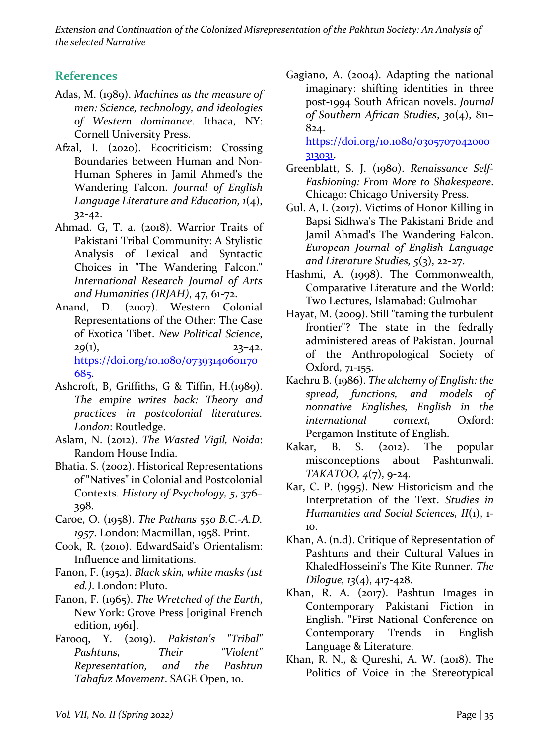### **References**

- Adas, M. (1989). *Machines as the measure of men: Science, technology, and ideologies of Western dominance*. Ithaca, NY: Cornell University Press.
- Afzal, I. (2020). Ecocriticism: Crossing Boundaries between Human and Non-Human Spheres in Jamil Ahmed's the Wandering Falcon. *Journal of English Language Literature and Education, 1(4),* 32-42.
- Ahmad. G, T. a. (2018). Warrior Traits of Pakistani Tribal Community: A Stylistic Analysis of Lexical and Syntactic Choices in "The Wandering Falcon." *International Research Journal of Arts and Humanities (IRJAH)*, 47, 61-72.
- Anand, D. (2007). Western Colonial Representations of the Other: The Case of Exotica Tibet. New Political Science,  $29(1)$ ,  $23-42$ . https://doi.org/10.1080/07393140601170 685.
- Ashcroft, B, Griffiths, G & Tiffin, H.(1989). *The empire writes back: Theory and practices in postcolonial literatures.*  London: Routledge.
- Aslam, N. (2012). *The Wasted Vigil, Noida*: Random House India.
- Bhatia. S. (2002). Historical Representations of "Natives" in Colonial and Postcolonial Contexts. History of Psychology, 5, 376-398.
- Caroe, O. (1958). *The Pathans* 550 B.C.-A.D. 1957. London: Macmillan, 1958. Print.
- Cook, R. (2010). EdwardSaid's Orientalism: Influence and limitations.
- Fanon, F. (1952). *Black skin, white masks (1st*) ed.). London: Pluto.
- Fanon, F. (1965). *The Wretched of the Earth*, New York: Grove Press [original French edition,  $1961$ .
- Farooq, Y. (2019). *Pakistan's* "Tribal" *Pashtuns, Their "Violent" Representation, and the Pashtun Tahafuz Movement*. SAGE Open, 10.

Gagiano, A.  $(2004)$ . Adapting the national imaginary: shifting identities in three post-1994 South African novels. Journal *of Southern African Studies*, *30*(4), 811– 824. 

https://doi.org/10.1080/0305707042000 313031.

- Greenblatt, S. J. (1980). *Renaissance Self-Fashioning: From More to Shakespeare*. Chicago: Chicago University Press.
- Gul. A, I. (2017). Victims of Honor Killing in Bapsi Sidhwa's The Pakistani Bride and Jamil Ahmad's The Wandering Falcon. *European Journal of English Language and Literature Studies, 5*(3), 22-27.
- Hashmi, A. (1998). The Commonwealth, Comparative Literature and the World: Two Lectures, Islamabad: Gulmohar
- Hayat, M. (2009). Still "taming the turbulent frontier"? The state in the fedrally administered areas of Pakistan. Journal of the Anthropological Society of Oxford, 71-155.
- Kachru B. (1986). *The alchemy of English: the spread, functions, and models of nonnative Englishes, English in the international context,*  Oxford: Pergamon Institute of English.
- Kakar, B. S.  $(2012)$ . The popular misconceptions about Pashtunwali. *TAKATOO, 4*(7), 9-24.
- Kar, C. P. (1995). New Historicism and the Interpretation of the Text. *Studies in Humanities and Social Sciences, II*(1), 1-10.
- Khan, A. (n.d). Critique of Representation of Pashtuns and their Cultural Values in KhaledHosseini's The Kite Runner. *The Dilogue, 13*(4), 417-428.
- Khan, R. A.  $(2017)$ . Pashtun Images in Contemporary Pakistani Fiction in English. "First National Conference on Contemporary Trends in English Language & Literature.
- Khan, R. N., & Qureshi, A. W. (2018). The Politics of Voice in the Stereotypical